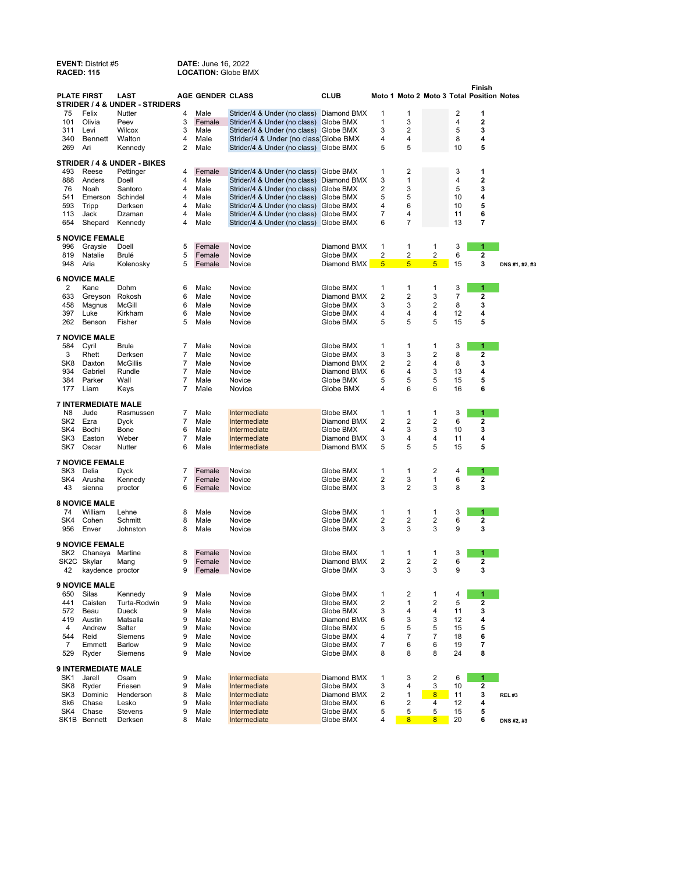| <b>RACED: 115</b> |                                 |                                                   |        |                         | <b>LOCATION: Globe BMX</b>                                   |                            |                         |                         |                         |          |                                                     |                |
|-------------------|---------------------------------|---------------------------------------------------|--------|-------------------------|--------------------------------------------------------------|----------------------------|-------------------------|-------------------------|-------------------------|----------|-----------------------------------------------------|----------------|
|                   | <b>PLATE FIRST</b>              | LAST<br><b>STRIDER / 4 &amp; UNDER - STRIDERS</b> |        | <b>AGE GENDER CLASS</b> |                                                              | <b>CLUB</b>                |                         |                         |                         |          | Finish<br>Moto 1 Moto 2 Moto 3 Total Position Notes |                |
| 75                | Felix                           | Nutter                                            | 4      | Male                    | Strider/4 & Under (no class)                                 | Diamond BMX                | 1                       | 1                       |                         | 2        | 1                                                   |                |
| 101               | Olivia                          | Peev                                              | 3      | Female                  | Strider/4 & Under (no class)                                 | Globe BMX                  | 1                       | 3                       |                         | 4        | 2                                                   |                |
| 311               | Levi                            | Wilcox                                            | 3      | Male                    | Strider/4 & Under (no class) Globe BMX                       |                            | 3                       | $\overline{2}$          |                         | 5        | 3                                                   |                |
| 340               | Bennett                         | Walton                                            | 4      | Male                    | Strider/4 & Under (no class Globe BMX                        |                            | 4                       | 4                       |                         | 8        | 4                                                   |                |
| 269               | Ari                             | Kennedy                                           | 2      | Male                    | Strider/4 & Under (no class) Globe BMX                       |                            | 5                       | 5                       |                         | 10       | 5                                                   |                |
|                   |                                 | <b>STRIDER / 4 &amp; UNDER - BIKES</b>            |        |                         |                                                              |                            |                         |                         |                         |          |                                                     |                |
| 493               | Reese                           | Pettinger                                         | 4      | Female                  | Strider/4 & Under (no class)                                 | Globe BMX                  | 1                       | 2                       |                         | 3        | 1                                                   |                |
| 888               | Anders                          | Doell                                             | 4      | Male                    | Strider/4 & Under (no class)                                 | Diamond BMX                | 3                       | 1                       |                         | 4        | 2                                                   |                |
| 76<br>541         | Noah<br>Emerson                 | Santoro<br>Schindel                               | 4<br>4 | Male<br>Male            | Strider/4 & Under (no class)                                 | Globe BMX<br>Globe BMX     | 2<br>5                  | 3<br>5                  |                         | 5<br>10  | 3<br>4                                              |                |
| 593               | Tripp                           | Derksen                                           | 4      | Male                    | Strider/4 & Under (no class)<br>Strider/4 & Under (no class) | Globe BMX                  | 4                       | 6                       |                         | 10       | 5                                                   |                |
| 113               | Jack                            | Dzaman                                            | 4      | Male                    | Strider/4 & Under (no class)                                 | Globe BMX                  | 7                       | 4                       |                         | 11       | 6                                                   |                |
| 654               | Shepard                         | Kennedy                                           | 4      | Male                    | Strider/4 & Under (no class) Globe BMX                       |                            | 6                       | 7                       |                         | 13       | 7                                                   |                |
|                   | <b>5 NOVICE FEMALE</b>          |                                                   |        |                         |                                                              |                            |                         |                         |                         |          |                                                     |                |
| 996               | Graysie                         | Doell                                             | 5      | Female                  | Novice                                                       | Diamond BMX                | 1                       | 1                       | 1                       | 3        | 1                                                   |                |
| 819               | Natalie                         | Brulé                                             | 5      | Female                  | Novice                                                       | Globe BMX                  | 2                       | 2                       | $\overline{\mathbf{c}}$ | 6        | 2                                                   |                |
| 948               | Aria                            | Kolenosky                                         | 5      | Female                  | Novice                                                       | Diamond BMX                | $\overline{5}$          | $\overline{5}$          | 5                       | 15       | 3                                                   | DNS #1, #2, #3 |
|                   | <b>6 NOVICE MALE</b>            |                                                   |        |                         |                                                              |                            |                         |                         |                         |          |                                                     |                |
| 2                 | Kane                            | Dohm                                              | 6      | Male                    | Novice                                                       | Globe BMX                  | 1                       | 1                       | 1                       | 3        | 1                                                   |                |
| 633               | Greyson                         | Rokosh                                            | 6      | Male                    | Novice                                                       | Diamond BMX                | $\overline{\mathbf{c}}$ | $\overline{2}$          | 3                       | 7        | 2                                                   |                |
| 458               | Magnus                          | McGill                                            | 6      | Male                    | Novice                                                       | Globe BMX                  | 3                       | 3                       | 2                       | 8        | 3                                                   |                |
| 397               | Luke                            | Kirkham                                           | 6<br>5 | Male                    | Novice                                                       | Globe BMX                  | 4<br>5                  | 4<br>5                  | 4<br>5                  | 12       | 4<br>5                                              |                |
| 262               | Benson                          | Fisher                                            |        | Male                    | Novice                                                       | Globe BMX                  |                         |                         |                         | 15       |                                                     |                |
| 584               | <b>7 NOVICE MALE</b><br>Cyril   | <b>Brule</b>                                      | 7      | Male                    | Novice                                                       | Globe BMX                  | 1                       | 1                       | 1                       | 3        | 1                                                   |                |
| 3                 | Rhett                           | Derksen                                           | 7      | Male                    | Novice                                                       | Globe BMX                  | 3                       | 3                       | 2                       | 8        | 2                                                   |                |
| SK <sub>8</sub>   | Daxton                          | <b>McGillis</b>                                   | 7      | Male                    | Novice                                                       | Diamond BMX                | 2                       | 2                       | 4                       | 8        | 3                                                   |                |
| 934               | Gabriel                         | Rundle                                            | 7      | Male                    | Novice                                                       | Diamond BMX                | 6                       | 4                       | 3                       | 13       | 4                                                   |                |
| 384               | Parker                          | Wall                                              | 7      | Male                    | Novice                                                       | Globe BMX                  | 5                       | 5                       | 5                       | 15       | 5                                                   |                |
| 177               | Liam                            | Keys                                              | 7      | Male                    | Novice                                                       | Globe BMX                  | 4                       | 6                       | 6                       | 16       | 6                                                   |                |
|                   | <b>7 INTERMEDIATE MALE</b>      |                                                   |        |                         |                                                              |                            |                         |                         |                         |          |                                                     |                |
| N8                | Jude                            | Rasmussen                                         | 7      | Male                    | Intermediate                                                 | Globe BMX                  | 1                       | 1                       | 1                       | 3        | 1                                                   |                |
| SK2               | Ezra                            | <b>Dyck</b>                                       | 7      | Male                    | Intermediate                                                 | Diamond BMX                | 2                       | 2                       | 2                       | 6        | 2                                                   |                |
| SK4               | Bodhi                           | Bone                                              | 6      | Male                    | Intermediate                                                 | Globe BMX                  | 4                       | 3                       | 3                       | 10       | 3                                                   |                |
| SK3<br>SK7        | Easton<br>Oscar                 | Weber<br>Nutter                                   | 7<br>6 | Male<br>Male            | Intermediate<br>Intermediate                                 | Diamond BMX<br>Diamond BMX | 3<br>5                  | 4<br>5                  | 4<br>5                  | 11<br>15 | 4<br>5                                              |                |
|                   |                                 |                                                   |        |                         |                                                              |                            |                         |                         |                         |          |                                                     |                |
| SK3               | <b>7 NOVICE FEMALE</b><br>Delia | <b>Dyck</b>                                       | 7      | Female                  | Novice                                                       | Globe BMX                  | 1                       | 1                       | 2                       | 4        | 1                                                   |                |
| SK4               | Arusha                          | Kennedy                                           | 7      | Female                  | Novice                                                       | Globe BMX                  | 2                       | 3                       | 1                       | 6        | 2                                                   |                |
| 43                | sienna                          | proctor                                           | 6      | Female                  | Novice                                                       | Globe BMX                  | 3                       | 2                       | 3                       | 8        | 3                                                   |                |
|                   | <b>8 NOVICE MALE</b>            |                                                   |        |                         |                                                              |                            |                         |                         |                         |          |                                                     |                |
| 74                | William                         | Lehne                                             | 8      | Male                    | Novice                                                       | Globe BMX                  | 1                       | 1                       | 1                       | 3        | 1                                                   |                |
| SK4               | Cohen                           | Schmitt                                           | 8      | Male                    | Novice                                                       | Globe BMX                  | 2                       | 2                       | 2                       | 6        | 2                                                   |                |
| 956               | Enver                           | Johnston                                          | 8      | Male                    | Novice                                                       | Globe BMX                  | 3                       | 3                       | 3                       | 9        | 3                                                   |                |
|                   | <b>9 NOVICE FEMALE</b>          |                                                   |        |                         |                                                              |                            |                         |                         |                         |          |                                                     |                |
|                   | SK2 Chanaya                     | Martine                                           | 8<br>9 | Female                  | Novice<br>Novice                                             | Globe BMX<br>Diamond BMX   | 1<br>2                  | 1<br>2                  | 1<br>2                  | 3<br>6   | 1<br>2                                              |                |
| 42                | SK2C Skylar<br>kaydence proctor | Mang                                              | 9      | Female<br>Female        | Novice                                                       | Globe BMX                  | 3                       | 3                       | 3                       | 9        | 3                                                   |                |
|                   | <b>9 NOVICE MALE</b>            |                                                   |        |                         |                                                              |                            |                         |                         |                         |          |                                                     |                |
| 650               | Silas                           | Kennedy                                           | 9      | Male                    | Novice                                                       | Globe BMX                  | 1                       | 2                       | $\mathbf{1}$            | 4        | 1                                                   |                |
| 441               | Caisten                         | Turta-Rodwin                                      | 9      | Male                    | Novice                                                       | Globe BMX                  | 2                       | $\mathbf{1}$            | $\overline{2}$          | 5        | 2                                                   |                |
| 572               | Beau                            | Dueck                                             | 9      | Male                    | Novice                                                       | Globe BMX                  | 3                       | 4                       | 4                       | 11       | 3                                                   |                |
| 419               | Austin                          | Matsalla                                          | 9      | Male                    | Novice                                                       | Diamond BMX                | 6                       | 3                       | 3                       | 12       | 4                                                   |                |
| 4                 | Andrew                          | Salter                                            | 9      | Male                    | Novice                                                       | Globe BMX                  | 5                       | 5                       | 5                       | 15       | 5                                                   |                |
| 544               | Reid                            | Siemens                                           | 9      | Male                    | Novice                                                       | Globe BMX                  | 4                       | 7                       | 7                       | 18       | 6                                                   |                |
| 7                 | Emmett                          | Barlow                                            | 9      | Male                    | Novice                                                       | Globe BMX                  | 7                       | 6                       | 6                       | 19       | 7                                                   |                |
| 529               | Ryder                           | Siemens                                           | 9      | Male                    | Novice                                                       | Globe BMX                  | 8                       | 8                       | 8                       | 24       | 8                                                   |                |
|                   | <b>9 INTERMEDIATE MALE</b>      |                                                   |        |                         |                                                              |                            |                         |                         |                         |          |                                                     |                |
| SK <sub>1</sub>   | Jarell                          | Osam                                              | 9      | Male                    | Intermediate<br>Intermediate                                 | Diamond BMX                | 1                       | 3                       | $\overline{\mathbf{c}}$ | 6        | 1                                                   |                |
| SK8<br>SK3        | Ryder<br>Dominic                | Friesen<br>Henderson                              | 9<br>8 | Male<br>Male            | Intermediate                                                 | Globe BMX<br>Diamond BMX   | 3<br>2                  | 4<br>$\mathbf{1}$       | 3<br>8                  | 10<br>11 | 2<br>3                                              | REL#3          |
| Sk <sub>6</sub>   | Chase                           | Lesko                                             | 9      | Male                    | Intermediate                                                 | Globe BMX                  | 6                       | 2                       | 4                       | 12       | 4                                                   |                |
| SK4               | Chase                           | Stevens                                           | 9      | Male                    | Intermediate                                                 | Globe BMX                  | 5                       | 5                       | 5                       | 15       | 5                                                   |                |
|                   | SK1B Bennett                    | Derksen                                           | 8      | Male                    | Intermediate                                                 | Globe BMX                  | 4                       | $\overline{\mathbf{8}}$ | $\overline{\mathbf{8}}$ | 20       | 6                                                   | DNS #2, #3     |

**EVENT:** District #5 **DATE:** June 16, 2022